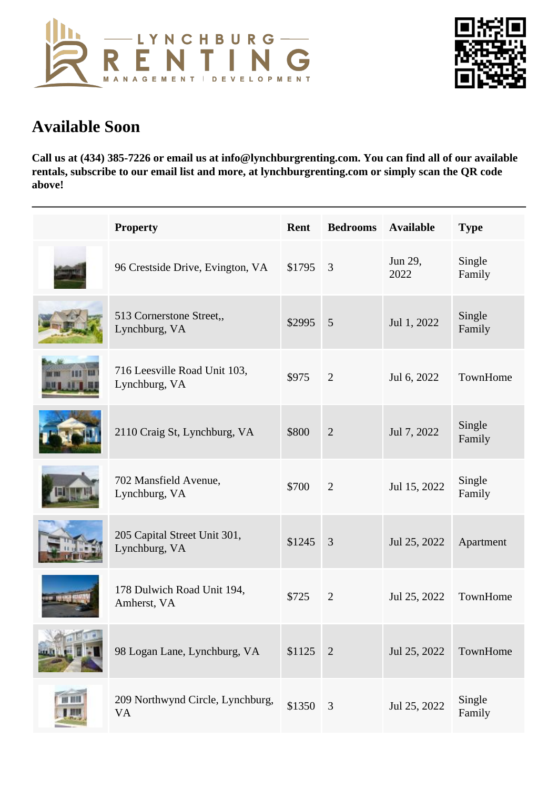## Available Soon

Call us at (434) 385-7226 or email us at info@lynchburgrenting.com. You can find all of our available rentals, subscribe to our email list and more, at lynchburgrenting.com or simply scan the QR code above!

| Property                                      | Rent      | Bedrooms Available |                        | <b>Type</b>      |
|-----------------------------------------------|-----------|--------------------|------------------------|------------------|
| 96 Crestside Drive, Evington, VA \$1795 3     |           |                    | Jun 29,<br>2022        | Single<br>Family |
| 513 Cornerstone Street,,<br>Lynchburg, VA     | \$2995 5  |                    | Jul 1, 2022            | Single<br>Family |
| 716 Leesville Road Unit 103,<br>Lynchburg, VA | \$975     | 2                  | Jul 6, 2022            | TownHome         |
| 2110 Craig St, Lynchburg, VA                  | \$800     | 2                  | Jul 7, 2022            | Single<br>Family |
| 702 Mansfield Avenue,<br>Lynchburg, VA        | \$700     | 2                  | Jul 15, 2022           | Single<br>Family |
| 205 Capital Street Unit 301,<br>Lynchburg, VA | $$1245$ 3 |                    | Jul 25, 2022 Apartment |                  |
| 178 Dulwich Road Unit 194,<br>Amherst, VA     | \$725     | 2                  | Jul 25, 2022 TownHome  |                  |
| 98 Logan Lane, Lynchburg, VA                  | $$1125$ 2 |                    | Jul 25, 2022 TownHome  |                  |
| 209 Northwynd Circle, Lynchburg<br><b>VA</b>  | \$1350 3  |                    | Jul 25, 2022           | Single<br>Family |